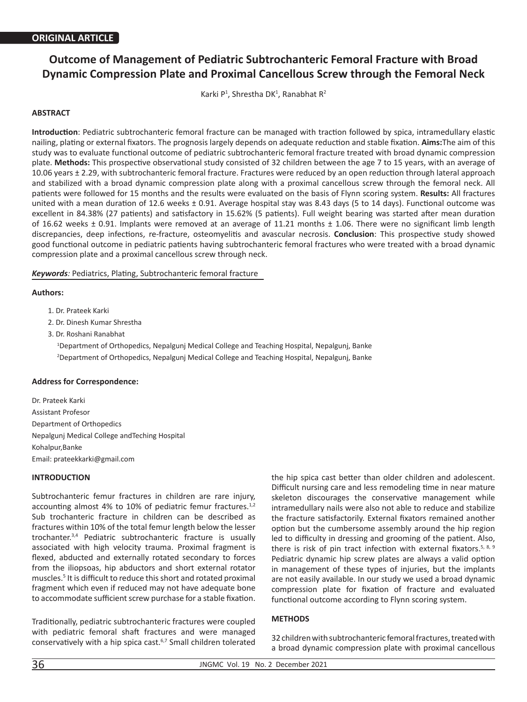# **Outcome of Management of Pediatric Subtrochanteric Femoral Fracture with Broad Dynamic Compression Plate and Proximal Cancellous Screw through the Femoral Neck**

Karki P<sup>1</sup>, Shrestha DK<sup>1</sup>, Ranabhat R<sup>2</sup>

# **ABSTRACT**

**Introduction**: Pediatric subtrochanteric femoral fracture can be managed with traction followed by spica, intramedullary elastic nailing, plating or external fixators. The prognosis largely depends on adequate reduction and stable fixation. **Aims:**The aim of this study was to evaluate functional outcome of pediatric subtrochanteric femoral fracture treated with broad dynamic compression plate. **Methods:** This prospective observational study consisted of 32 children between the age 7 to 15 years, with an average of 10.06 years ± 2.29, with subtrochanteric femoral fracture. Fractures were reduced by an open reduction through lateral approach and stabilized with a broad dynamic compression plate along with a proximal cancellous screw through the femoral neck. All patients were followed for 15 months and the results were evaluated on the basis of Flynn scoring system. **Results:** All fractures united with a mean duration of 12.6 weeks ± 0.91. Average hospital stay was 8.43 days (5 to 14 days). Functional outcome was excellent in 84.38% (27 patients) and satisfactory in 15.62% (5 patients). Full weight bearing was started after mean duration of 16.62 weeks ± 0.91. Implants were removed at an average of 11.21 months ± 1.06. There were no significant limb length discrepancies, deep infections, re-fracture, osteomyelitis and avascular necrosis. **Conclusion**: This prospective study showed good functional outcome in pediatric patients having subtrochanteric femoral fractures who were treated with a broad dynamic compression plate and a proximal cancellous screw through neck.

#### *Keywords:* Pediatrics, Plating, Subtrochanteric femoral fracture

#### **Authors:**

- 1. Dr. Prateek Karki
- 2. Dr. Dinesh Kumar Shrestha
- 3. Dr. Roshani Ranabhat

1 Department of Orthopedics, Nepalgunj Medical College and Teaching Hospital, Nepalgunj, Banke 2 Department of Orthopedics, Nepalgunj Medical College and Teaching Hospital, Nepalgunj, Banke

## **Address for Correspondence:**

Dr. Prateek Karki Assistant Profesor Department of Orthopedics Nepalgunj Medical College andTeching Hospital Kohalpur,Banke Email: prateekkarki@gmail.com

## **INTRODUCTION**

Subtrochanteric femur fractures in children are rare injury, accounting almost 4% to 10% of pediatric femur fractures.<sup>1,2</sup> Sub trochanteric fracture in children can be described as fractures within 10% of the total femur length below the lesser trochanter.3,4 Pediatric subtrochanteric fracture is usually associated with high velocity trauma. Proximal fragment is flexed, abducted and externally rotated secondary to forces from the iliopsoas, hip abductors and short external rotator muscles.<sup>5</sup> It is difficult to reduce this short and rotated proximal fragment which even if reduced may not have adequate bone to accommodate sufficient screw purchase for a stable fixation.

Traditionally, pediatric subtrochanteric fractures were coupled with pediatric femoral shaft fractures and were managed conservatively with a hip spica cast.6,7 Small children tolerated

the hip spica cast better than older children and adolescent. Difficult nursing care and less remodeling time in near mature skeleton discourages the conservative management while intramedullary nails were also not able to reduce and stabilize the fracture satisfactorily. External fixators remained another option but the cumbersome assembly around the hip region led to difficulty in dressing and grooming of the patient. Also, there is risk of pin tract infection with external fixators.<sup>5, 8, 9</sup> Pediatric dynamic hip screw plates are always a valid option in management of these types of injuries, but the implants are not easily available. In our study we used a broad dynamic compression plate for fixation of fracture and evaluated functional outcome according to Flynn scoring system.

# **METHODS**

32 children with subtrochanteric femoral fractures, treated with a broad dynamic compression plate with proximal cancellous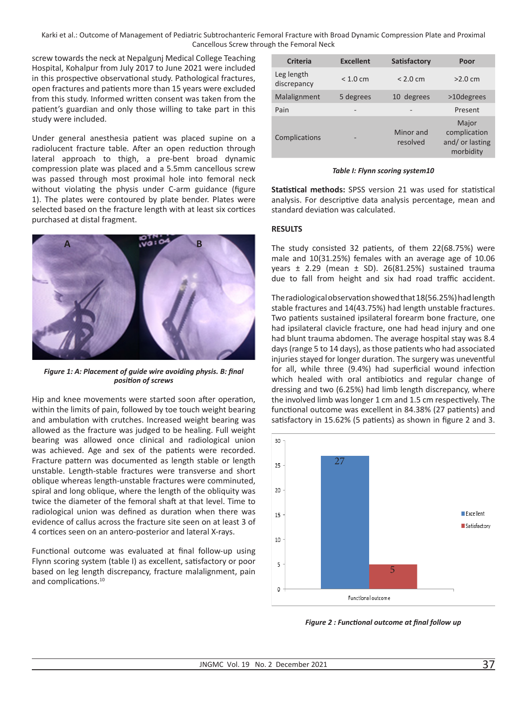Karki et al.: Outcome of Management of Pediatric Subtrochanteric Femoral Fracture with Broad Dynamic Compression Plate and Proximal Cancellous Screw through the Femoral Neck

screw towards the neck at Nepalgunj Medical College Teaching Hospital, Kohalpur from July 2017 to June 2021 were included in this prospective observational study. Pathological fractures, open fractures and patients more than 15 years were excluded from this study. Informed written consent was taken from the patient's guardian and only those willing to take part in this study were included.

Under general anesthesia patient was placed supine on a radiolucent fracture table. After an open reduction through lateral approach to thigh, a pre-bent broad dynamic compression plate was placed and a 5.5mm cancellous screw was passed through most proximal hole into femoral neck without violating the physis under C-arm guidance (figure 1). The plates were contoured by plate bender. Plates were selected based on the fracture length with at least six cortices purchased at distal fragment.



*Figure 1: A: Placement of guide wire avoiding physis. B: final position of screws*

Hip and knee movements were started soon after operation, within the limits of pain, followed by toe touch weight bearing and ambulation with crutches. Increased weight bearing was allowed as the fracture was judged to be healing. Full weight bearing was allowed once clinical and radiological union was achieved. Age and sex of the patients were recorded. Fracture pattern was documented as length stable or length unstable. Length-stable fractures were transverse and short oblique whereas length-unstable fractures were comminuted, spiral and long oblique, where the length of the obliquity was twice the diameter of the femoral shaft at that level. Time to radiological union was defined as duration when there was evidence of callus across the fracture site seen on at least 3 of 4 cortices seen on an antero-posterior and lateral X-rays.

Functional outcome was evaluated at final follow-up using Flynn scoring system (table I) as excellent, satisfactory or poor based on leg length discrepancy, fracture malalignment, pain and complications.<sup>10</sup>

| <b>Criteria</b>           | <b>Excellent</b> | <b>Satisfactory</b>   | Poor                                                 |
|---------------------------|------------------|-----------------------|------------------------------------------------------|
| Leg length<br>discrepancy | < 1.0 cm         | < 2.0 cm              | >2.0 cm                                              |
| Malalignment              | 5 degrees        | 10 degrees            | >10degrees                                           |
| Pain                      |                  | -                     | Present                                              |
| Complications             |                  | Minor and<br>resolved | Major<br>complication<br>and/or lasting<br>morbidity |

*Table I: Flynn scoring system10*

**Statistical methods:** SPSS version 21 was used for statistical analysis. For descriptive data analysis percentage, mean and standard deviation was calculated.

# **RESULTS**

The study consisted 32 patients, of them 22(68.75%) were male and 10(31.25%) females with an average age of 10.06 years ± 2.29 (mean ± SD). 26(81.25%) sustained trauma due to fall from height and six had road traffic accident.

The radiological observation showed that 18(56.25%) had length stable fractures and 14(43.75%) had length unstable fractures. Two patients sustained ipsilateral forearm bone fracture, one had ipsilateral clavicle fracture, one had head injury and one had blunt trauma abdomen. The average hospital stay was 8.4 days (range 5 to 14 days), as those patients who had associated injuries stayed for longer duration. The surgery was uneventful for all, while three (9.4%) had superficial wound infection which healed with oral antibiotics and regular change of dressing and two (6.25%) had limb length discrepancy, where the involved limb was longer 1 cm and 1.5 cm respectively. The functional outcome was excellent in 84.38% (27 patients) and satisfactory in 15.62% (5 patients) as shown in figure 2 and 3.



*Figure 2 : Functional outcome at final follow up*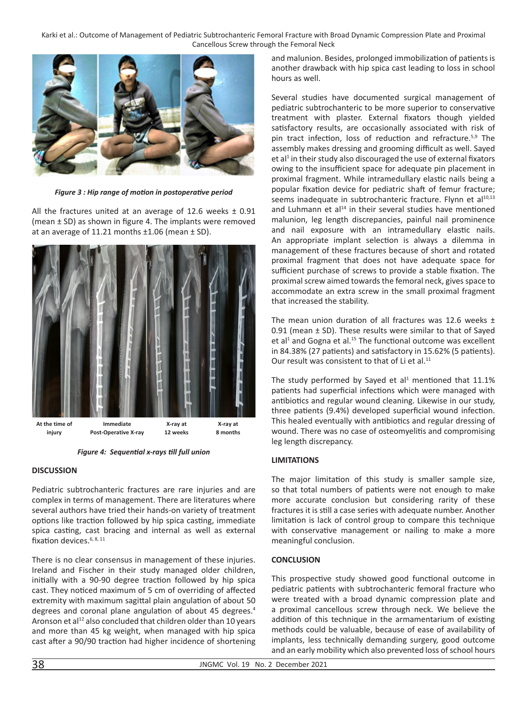Karki et al.: Outcome of Management of Pediatric Subtrochanteric Femoral Fracture with Broad Dynamic Compression Plate and Proximal Cancellous Screw through the Femoral Neck



*Figure 3 : Hip range of motion in postoperative period*

All the fractures united at an average of 12.6 weeks  $\pm$  0.91 (mean ± SD) as shown in figure 4. The implants were removed at an average of 11.21 months ±1.06 (mean ± SD).



*Figure 4: Sequential x-rays till full union*

## **DISCUSSION**

Pediatric subtrochanteric fractures are rare injuries and are complex in terms of management. There are literatures where several authors have tried their hands-on variety of treatment options like traction followed by hip spica casting, immediate spica casting, cast bracing and internal as well as external fixation devices. $6, 8, 11$ 

There is no clear consensus in management of these injuries. Ireland and Fischer in their study managed older children, initially with a 90-90 degree traction followed by hip spica cast. They noticed maximum of 5 cm of overriding of affected extremity with maximum sagittal plain angulation of about 50 degrees and coronal plane angulation of about 45 degrees.<sup>4</sup> Aronson et al<sup>12</sup> also concluded that children older than 10 years and more than 45 kg weight, when managed with hip spica cast after a 90/90 traction had higher incidence of shortening

and malunion. Besides, prolonged immobilization of patients is another drawback with hip spica cast leading to loss in school hours as well.

Several studies have documented surgical management of pediatric subtrochanteric to be more superior to conservative treatment with plaster. External fixators though yielded satisfactory results, are occasionally associated with risk of pin tract infection, loss of reduction and refracture.<sup>5,9</sup> The assembly makes dressing and grooming difficult as well. Sayed et al<sup>1</sup> in their study also discouraged the use of external fixators owing to the insufficient space for adequate pin placement in proximal fragment. While intramedullary elastic nails being a popular fixation device for pediatric shaft of femur fracture; seems inadequate in subtrochanteric fracture. Flynn et al<sup>10,13</sup> and Luhmann et al<sup>14</sup> in their several studies have mentioned malunion, leg length discrepancies, painful nail prominence and nail exposure with an intramedullary elastic nails. An appropriate implant selection is always a dilemma in management of these fractures because of short and rotated proximal fragment that does not have adequate space for sufficient purchase of screws to provide a stable fixation. The proximal screw aimed towards the femoral neck, gives space to accommodate an extra screw in the small proximal fragment that increased the stability.

The mean union duration of all fractures was 12.6 weeks  $\pm$ 0.91 (mean ± SD). These results were similar to that of Sayed et al<sup>1</sup> and Gogna et al.<sup>15</sup> The functional outcome was excellent in 84.38% (27 patients) and satisfactory in 15.62% (5 patients). Our result was consistent to that of Li et al.<sup>11</sup>

The study performed by Sayed et al<sup>1</sup> mentioned that  $11.1\%$ patients had superficial infections which were managed with antibiotics and regular wound cleaning. Likewise in our study, three patients (9.4%) developed superficial wound infection. This healed eventually with antibiotics and regular dressing of wound. There was no case of osteomyelitis and compromising leg length discrepancy.

## **LIMITATIONS**

The major limitation of this study is smaller sample size, so that total numbers of patients were not enough to make more accurate conclusion but considering rarity of these fractures it is still a case series with adequate number. Another limitation is lack of control group to compare this technique with conservative management or nailing to make a more meaningful conclusion.

## **CONCLUSION**

This prospective study showed good functional outcome in pediatric patients with subtrochanteric femoral fracture who were treated with a broad dynamic compression plate and a proximal cancellous screw through neck. We believe the addition of this technique in the armamentarium of existing methods could be valuable, because of ease of availability of implants, less technically demanding surgery, good outcome and an early mobility which also prevented loss of school hours